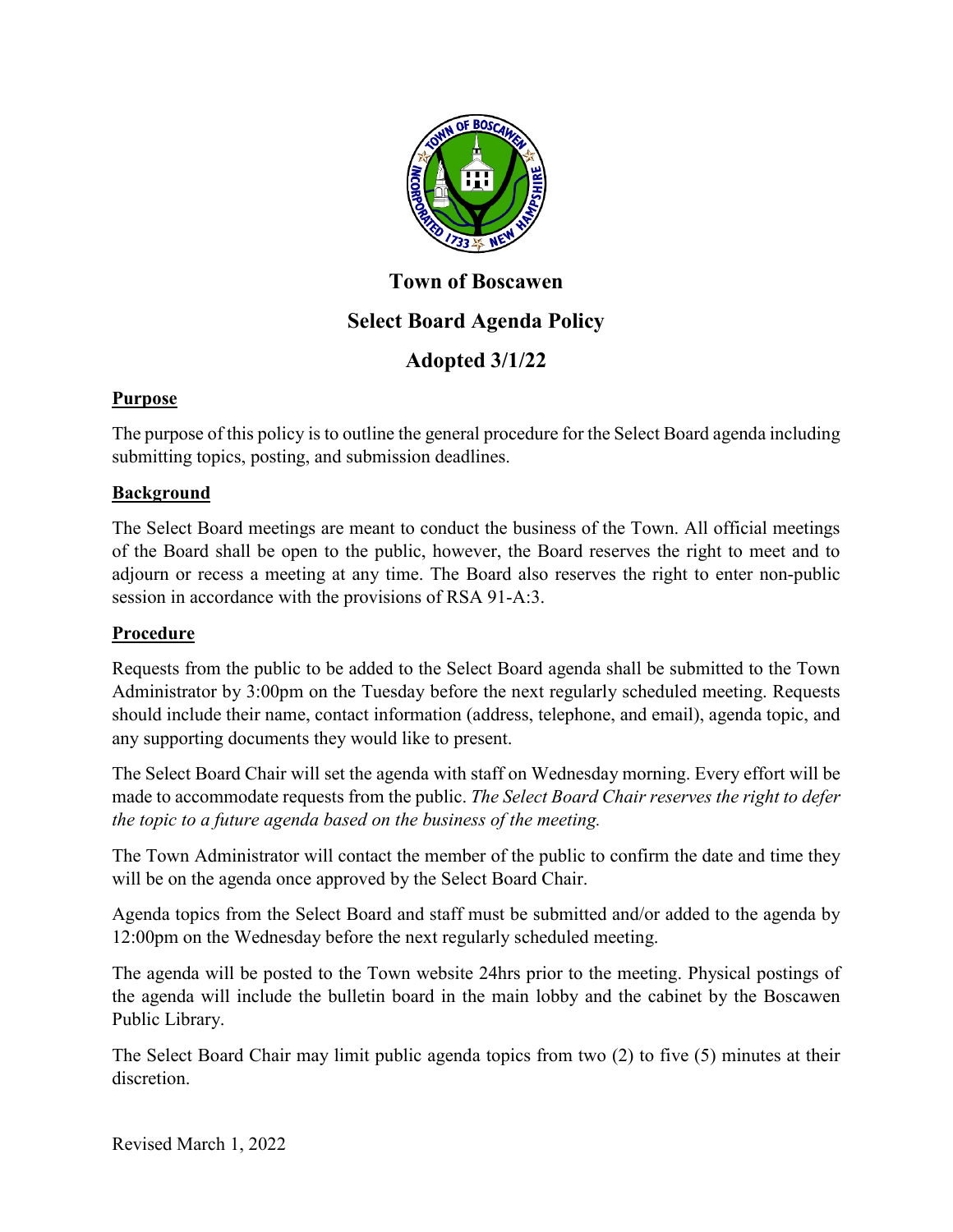

# **Town of Boscawen Select Board Agenda Policy**

## **Adopted 3/1/22**

### **Purpose**

The purpose of this policy is to outline the general procedure for the Select Board agenda including submitting topics, posting, and submission deadlines.

#### **Background**

The Select Board meetings are meant to conduct the business of the Town. All official meetings of the Board shall be open to the public, however, the Board reserves the right to meet and to adjourn or recess a meeting at any time. The Board also reserves the right to enter non-public session in accordance with the provisions of RSA 91-A:3.

#### **Procedure**

Requests from the public to be added to the Select Board agenda shall be submitted to the Town Administrator by 3:00pm on the Tuesday before the next regularly scheduled meeting. Requests should include their name, contact information (address, telephone, and email), agenda topic, and any supporting documents they would like to present.

The Select Board Chair will set the agenda with staff on Wednesday morning. Every effort will be made to accommodate requests from the public. *The Select Board Chair reserves the right to defer the topic to a future agenda based on the business of the meeting.*

The Town Administrator will contact the member of the public to confirm the date and time they will be on the agenda once approved by the Select Board Chair.

Agenda topics from the Select Board and staff must be submitted and/or added to the agenda by 12:00pm on the Wednesday before the next regularly scheduled meeting.

The agenda will be posted to the Town website 24hrs prior to the meeting. Physical postings of the agenda will include the bulletin board in the main lobby and the cabinet by the Boscawen Public Library.

The Select Board Chair may limit public agenda topics from two (2) to five (5) minutes at their discretion.